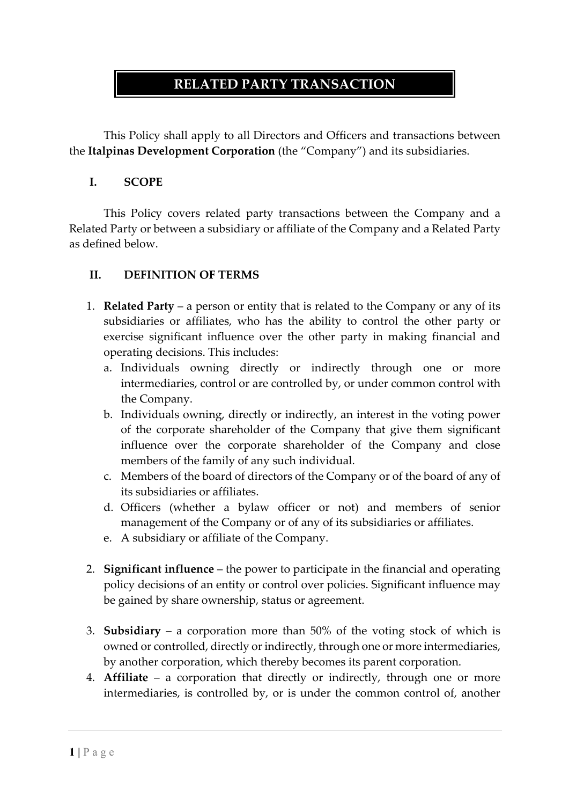# **RELATED PARTY TRANSACTION**

This Policy shall apply to all Directors and Officers and transactions between the **Italpinas Development Corporation** (the "Company") and its subsidiaries.

#### **I. SCOPE**

This Policy covers related party transactions between the Company and a Related Party or between a subsidiary or affiliate of the Company and a Related Party as defined below.

### **II. DEFINITION OF TERMS**

- 1. **Related Party** a person or entity that is related to the Company or any of its subsidiaries or affiliates, who has the ability to control the other party or exercise significant influence over the other party in making financial and operating decisions. This includes:
	- a. Individuals owning directly or indirectly through one or more intermediaries, control or are controlled by, or under common control with the Company.
	- b. Individuals owning, directly or indirectly, an interest in the voting power of the corporate shareholder of the Company that give them significant influence over the corporate shareholder of the Company and close members of the family of any such individual.
	- c. Members of the board of directors of the Company or of the board of any of its subsidiaries or affiliates.
	- d. Officers (whether a bylaw officer or not) and members of senior management of the Company or of any of its subsidiaries or affiliates.
	- e. A subsidiary or affiliate of the Company.
- 2. **Significant influence** the power to participate in the financial and operating policy decisions of an entity or control over policies. Significant influence may be gained by share ownership, status or agreement.
- 3. **Subsidiary** a corporation more than 50% of the voting stock of which is owned or controlled, directly or indirectly, through one or more intermediaries, by another corporation, which thereby becomes its parent corporation.
- 4. **Affiliate** a corporation that directly or indirectly, through one or more intermediaries, is controlled by, or is under the common control of, another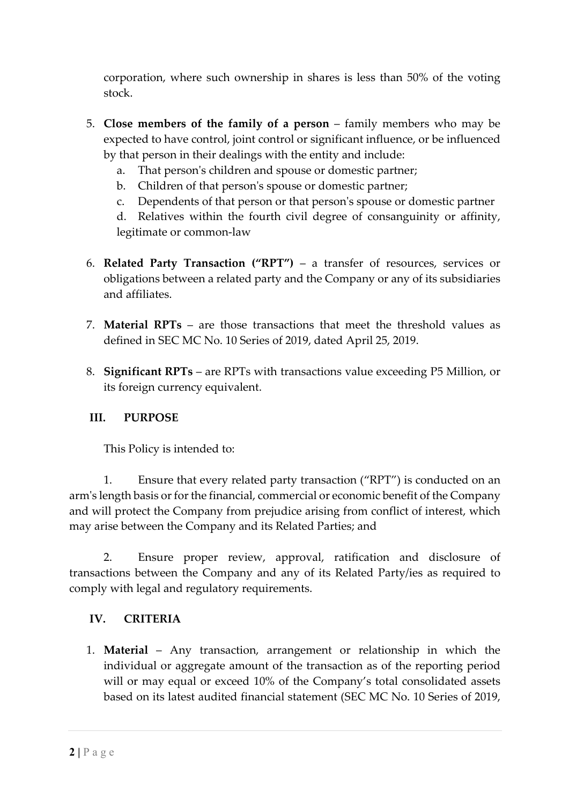corporation, where such ownership in shares is less than 50% of the voting stock.

- 5. **Close members of the family of a person** family members who may be expected to have control, joint control or significant influence, or be influenced by that person in their dealings with the entity and include:
	- a. That person's children and spouse or domestic partner;
	- b. Children of that person's spouse or domestic partner;
	- c. Dependents of that person or that person's spouse or domestic partner

d. Relatives within the fourth civil degree of consanguinity or affinity, legitimate or common-law

- 6. **Related Party Transaction ("RPT")** a transfer of resources, services or obligations between a related party and the Company or any of its subsidiaries and affiliates.
- 7. **Material RPTs** are those transactions that meet the threshold values as defined in SEC MC No. 10 Series of 2019, dated April 25, 2019.
- 8. **Significant RPTs** are RPTs with transactions value exceeding P5 Million, or its foreign currency equivalent.

# **III. PURPOSE**

This Policy is intended to:

1. Ensure that every related party transaction ("RPT") is conducted on an arm's length basis or for the financial, commercial or economic benefit of the Company and will protect the Company from prejudice arising from conflict of interest, which may arise between the Company and its Related Parties; and

2. Ensure proper review, approval, ratification and disclosure of transactions between the Company and any of its Related Party/ies as required to comply with legal and regulatory requirements.

# **IV. CRITERIA**

1. **Material** – Any transaction, arrangement or relationship in which the individual or aggregate amount of the transaction as of the reporting period will or may equal or exceed 10% of the Company's total consolidated assets based on its latest audited financial statement (SEC MC No. 10 Series of 2019,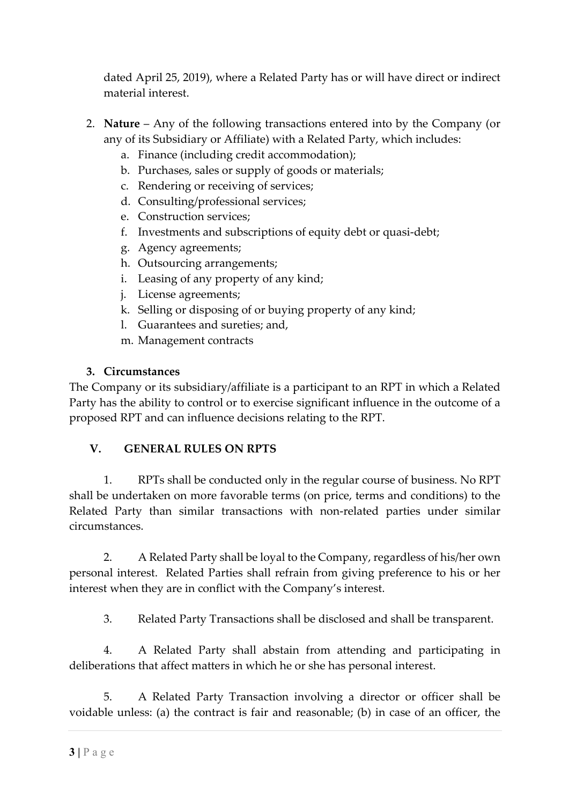dated April 25, 2019), where a Related Party has or will have direct or indirect material interest.

- 2. **Nature** Any of the following transactions entered into by the Company (or any of its Subsidiary or Affiliate) with a Related Party, which includes:
	- a. Finance (including credit accommodation);
	- b. Purchases, sales or supply of goods or materials;
	- c. Rendering or receiving of services;
	- d. Consulting/professional services;
	- e. Construction services;
	- f. Investments and subscriptions of equity debt or quasi-debt;
	- g. Agency agreements;
	- h. Outsourcing arrangements;
	- i. Leasing of any property of any kind;
	- j. License agreements;
	- k. Selling or disposing of or buying property of any kind;
	- l. Guarantees and sureties; and,
	- m. Management contracts

#### **3. Circumstances**

The Company or its subsidiary/affiliate is a participant to an RPT in which a Related Party has the ability to control or to exercise significant influence in the outcome of a proposed RPT and can influence decisions relating to the RPT.

#### **V. GENERAL RULES ON RPTS**

1. RPTs shall be conducted only in the regular course of business. No RPT shall be undertaken on more favorable terms (on price, terms and conditions) to the Related Party than similar transactions with non-related parties under similar circumstances.

2. A Related Party shall be loyal to the Company, regardless of his/her own personal interest. Related Parties shall refrain from giving preference to his or her interest when they are in conflict with the Company's interest.

3. Related Party Transactions shall be disclosed and shall be transparent.

4. A Related Party shall abstain from attending and participating in deliberations that affect matters in which he or she has personal interest.

5. A Related Party Transaction involving a director or officer shall be voidable unless: (a) the contract is fair and reasonable; (b) in case of an officer, the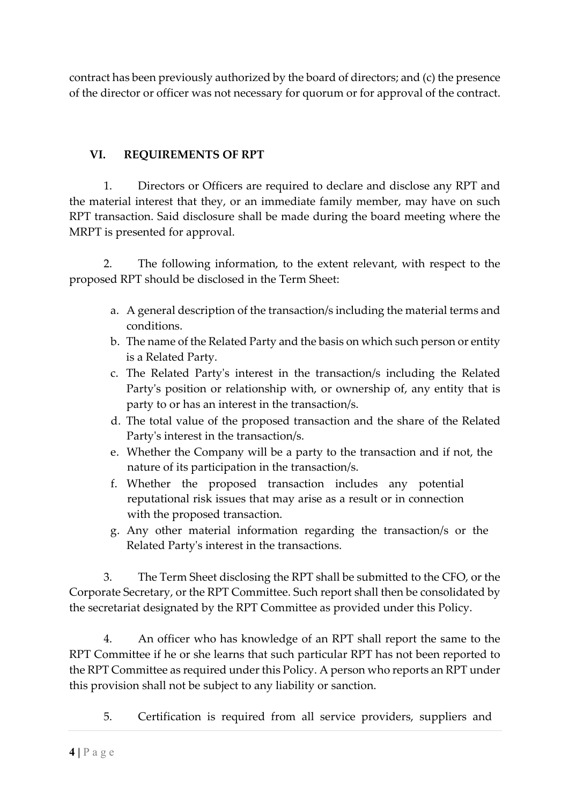contract has been previously authorized by the board of directors; and (c) the presence of the director or officer was not necessary for quorum or for approval of the contract.

# **VI. REQUIREMENTS OF RPT**

1. Directors or Officers are required to declare and disclose any RPT and the material interest that they, or an immediate family member, may have on such RPT transaction. Said disclosure shall be made during the board meeting where the MRPT is presented for approval.

2. The following information, to the extent relevant, with respect to the proposed RPT should be disclosed in the Term Sheet:

- a. A general description of the transaction/s including the material terms and conditions.
- b. The name of the Related Party and the basis on which such person or entity is a Related Party.
- c. The Related Party's interest in the transaction/s including the Related Party's position or relationship with, or ownership of, any entity that is party to or has an interest in the transaction/s.
- d. The total value of the proposed transaction and the share of the Related Party's interest in the transaction/s.
- e. Whether the Company will be a party to the transaction and if not, the nature of its participation in the transaction/s.
- f. Whether the proposed transaction includes any potential reputational risk issues that may arise as a result or in connection with the proposed transaction.
- g. Any other material information regarding the transaction/s or the Related Party's interest in the transactions.

3. The Term Sheet disclosing the RPT shall be submitted to the CFO, or the Corporate Secretary, or the RPT Committee. Such report shall then be consolidated by the secretariat designated by the RPT Committee as provided under this Policy.

4. An officer who has knowledge of an RPT shall report the same to the RPT Committee if he or she learns that such particular RPT has not been reported to the RPT Committee as required under this Policy. A person who reports an RPT under this provision shall not be subject to any liability or sanction.

5. Certification is required from all service providers, suppliers and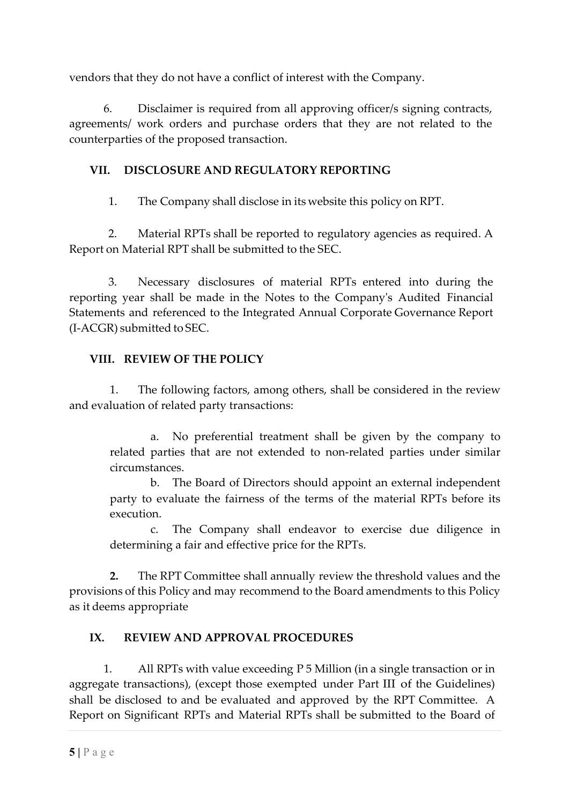vendors that they do not have a conflict of interest with the Company.

6. Disclaimer is required from all approving officer/s signing contracts, agreements/ work orders and purchase orders that they are not related to the counterparties of the proposed transaction.

### **VII. DISCLOSURE AND REGULATORY REPORTING**

1. The Company shall disclose in its website this policy on RPT.

2. Material RPTs shall be reported to regulatory agencies as required. A Report on Material RPT shall be submitted to the SEC.

3. Necessary disclosures of material RPTs entered into during the reporting year shall be made in the Notes to the Company's Audited Financial Statements and referenced to the Integrated Annual Corporate Governance Report (I-ACGR) submitted to SEC.

### **VIII. REVIEW OF THE POLICY**

1. The following factors, among others, shall be considered in the review and evaluation of related party transactions:

a. No preferential treatment shall be given by the company to related parties that are not extended to non-related parties under similar circumstances.

b. The Board of Directors should appoint an external independent party to evaluate the fairness of the terms of the material RPTs before its execution.

c. The Company shall endeavor to exercise due diligence in determining a fair and effective price for the RPTs.

**2.** The RPT Committee shall annually review the threshold values and the provisions of this Policy and may recommend to the Board amendments to this Policy as it deems appropriate

# **IX. REVIEW AND APPROVAL PROCEDURES**

1. All RPTs with value exceeding P 5 Million (in a single transaction or in aggregate transactions), (except those exempted under Part III of the Guidelines) shall be disclosed to and be evaluated and approved by the RPT Committee. A Report on Significant RPTs and Material RPTs shall be submitted to the Board of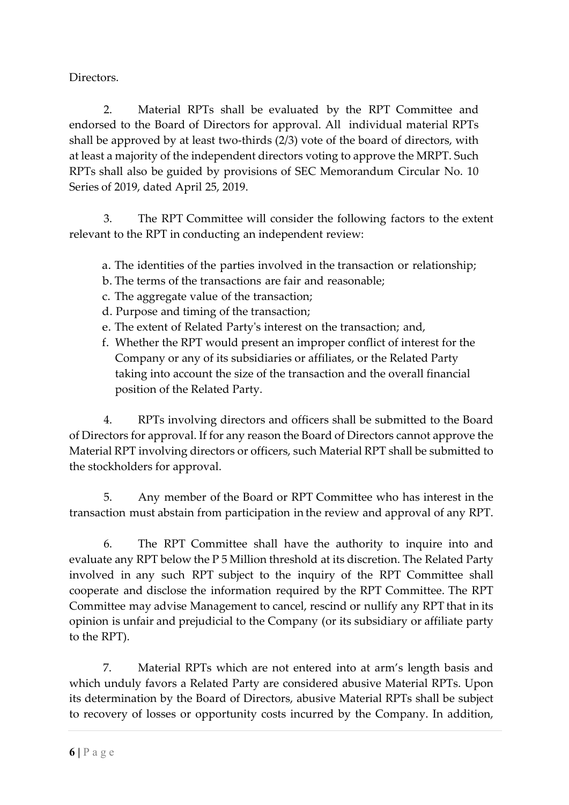Directors.

2. Material RPTs shall be evaluated by the RPT Committee and endorsed to the Board of Directors for approval. All individual material RPTs shall be approved by at least two-thirds (2/3) vote of the board of directors, with at least a majority of the independent directors voting to approve the MRPT. Such RPTs shall also be guided by provisions of SEC Memorandum Circular No. 10 Series of 2019, dated April 25, 2019.

3. The RPT Committee will consider the following factors to the extent relevant to the RPT in conducting an independent review:

a. The identities of the parties involved in the transaction or relationship;

- b. The terms of the transactions are fair and reasonable;
- c. The aggregate value of the transaction;
- d. Purpose and timing of the transaction;
- e. The extent of Related Party's interest on the transaction; and,
- f. Whether the RPT would present an improper conflict of interest for the Company or any of its subsidiaries or affiliates, or the Related Party taking into account the size of the transaction and the overall financial position of the Related Party.

4. RPTs involving directors and officers shall be submitted to the Board of Directors for approval. If for any reason the Board of Directors cannot approve the Material RPT involving directors or officers, such Material RPT shall be submitted to the stockholders for approval.

5. Any member of the Board or RPT Committee who has interest in the transaction must abstain from participation in the review and approval of any RPT.

6. The RPT Committee shall have the authority to inquire into and evaluate any RPT below the P 5 Million threshold at its discretion. The Related Party involved in any such RPT subject to the inquiry of the RPT Committee shall cooperate and disclose the information required by the RPT Committee. The RPT Committee may advise Management to cancel, rescind or nullify any RPT that in its opinion is unfair and prejudicial to the Company (or its subsidiary or affiliate party to the RPT).

7. Material RPTs which are not entered into at arm's length basis and which unduly favors a Related Party are considered abusive Material RPTs. Upon its determination by the Board of Directors, abusive Material RPTs shall be subject to recovery of losses or opportunity costs incurred by the Company. In addition,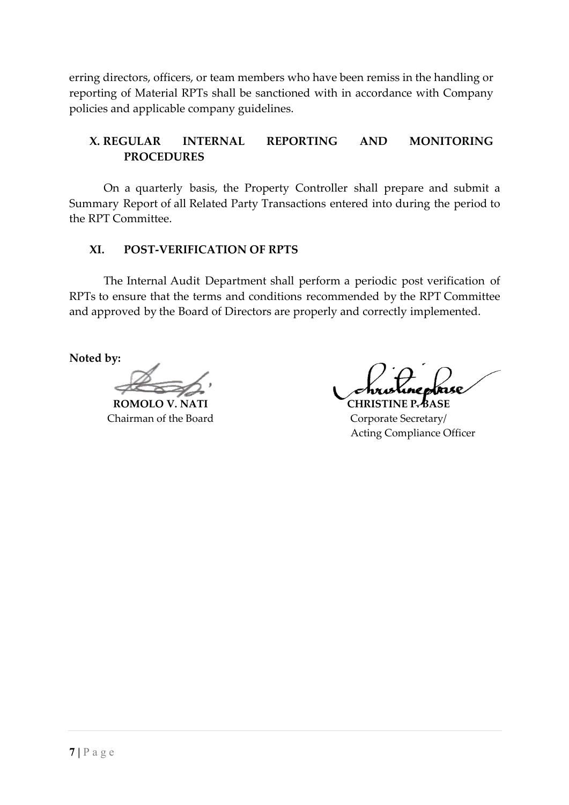erring directors, officers, or team members who have been remiss in the handling or reporting of Material RPTs shall be sanctioned with in accordance with Company policies and applicable company guidelines.

### **X. REGULAR INTERNAL REPORTING AND MONITORING PROCEDURES**

On a quarterly basis, the Property Controller shall prepare and submit a Summary Report of all Related Party Transactions entered into during the period to the RPT Committee.

#### **XI. POST-VERIFICATION OF RPTS**

The Internal Audit Department shall perform a periodic post verification of RPTs to ensure that the terms and conditions recommended by the RPT Committee and approved by the Board of Directors are properly and correctly implemented.

**Noted by:**

**ROMOLO V. NATI CHRISTINE P. BASE** Chairman of the Board Corporate Secretary/

Acting Compliance Officer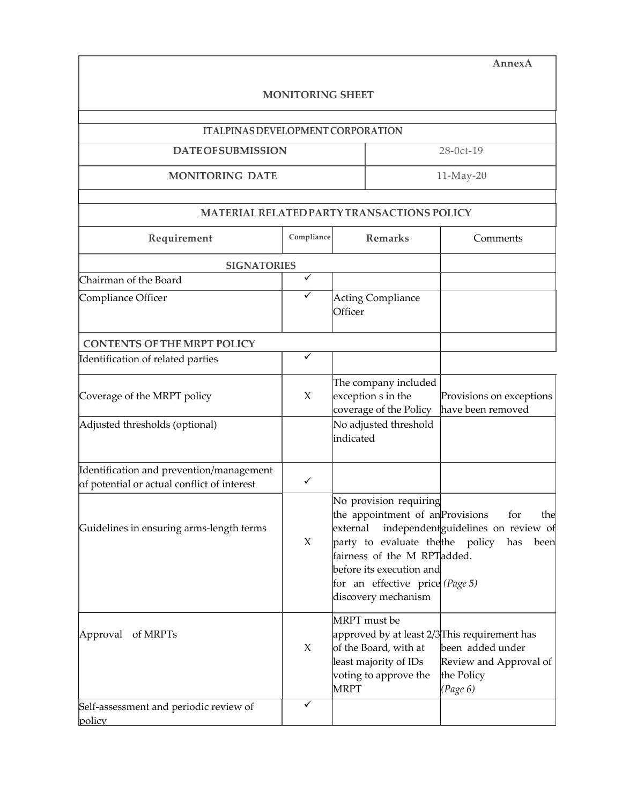|                                                  |                         |                                                                                                                                                                                                                                     | AnnexA                                                               |  |
|--------------------------------------------------|-------------------------|-------------------------------------------------------------------------------------------------------------------------------------------------------------------------------------------------------------------------------------|----------------------------------------------------------------------|--|
|                                                  | <b>MONITORING SHEET</b> |                                                                                                                                                                                                                                     |                                                                      |  |
| <b>ITALPINAS DEVELOPMENT CORPORATION</b>         |                         |                                                                                                                                                                                                                                     |                                                                      |  |
| <b>DATEOFSUBMISSION</b>                          |                         | 28-0ct-19                                                                                                                                                                                                                           |                                                                      |  |
| <b>MONITORING DATE</b>                           |                         |                                                                                                                                                                                                                                     | 11-May-20                                                            |  |
|                                                  |                         | MATERIAL RELATED PARTY TRANSACTIONS POLICY                                                                                                                                                                                          |                                                                      |  |
| Requirement                                      | Compliance              | <b>Remarks</b>                                                                                                                                                                                                                      | Comments                                                             |  |
| <b>SIGNATORIES</b>                               |                         |                                                                                                                                                                                                                                     |                                                                      |  |
| Chairman of the Board                            | $\overline{\checkmark}$ |                                                                                                                                                                                                                                     |                                                                      |  |
| Compliance Officer                               | $\checkmark$            | Acting Compliance<br>Officer                                                                                                                                                                                                        |                                                                      |  |
| <b>CONTENTS OF THE MRPT POLICY</b>               |                         |                                                                                                                                                                                                                                     |                                                                      |  |
| Identification of related parties                | ✓                       |                                                                                                                                                                                                                                     |                                                                      |  |
| Coverage of the MRPT policy                      | X                       | The company included<br>exception s in the<br>coverage of the Policy                                                                                                                                                                | Provisions on exceptions<br>have been removed                        |  |
| Adjusted thresholds (optional)                   |                         | No adjusted threshold<br>indicated                                                                                                                                                                                                  |                                                                      |  |
| Identification and prevention/management         |                         |                                                                                                                                                                                                                                     |                                                                      |  |
| of potential or actual conflict of interest      | ✓                       |                                                                                                                                                                                                                                     |                                                                      |  |
| Guidelines in ensuring arms-length terms         | X                       | No provision requiring<br>the appointment of an Provisions for<br>external<br>party to evaluate the the policy<br>fairness of the M RPTadded.<br>before its execution and<br>for an effective price (Page 5)<br>discovery mechanism | the<br>independent guidelines on review of<br>has<br>been            |  |
| Approval of MRPTs                                | X                       | MRPT must be<br>approved by at least 2/3This requirement has<br>of the Board, with at<br>least majority of IDs<br>voting to approve the<br><b>MRPT</b>                                                                              | been added under<br>Review and Approval of<br>the Policy<br>(Page 6) |  |
| Self-assessment and periodic review of<br>policy | $\checkmark$            |                                                                                                                                                                                                                                     |                                                                      |  |

-F